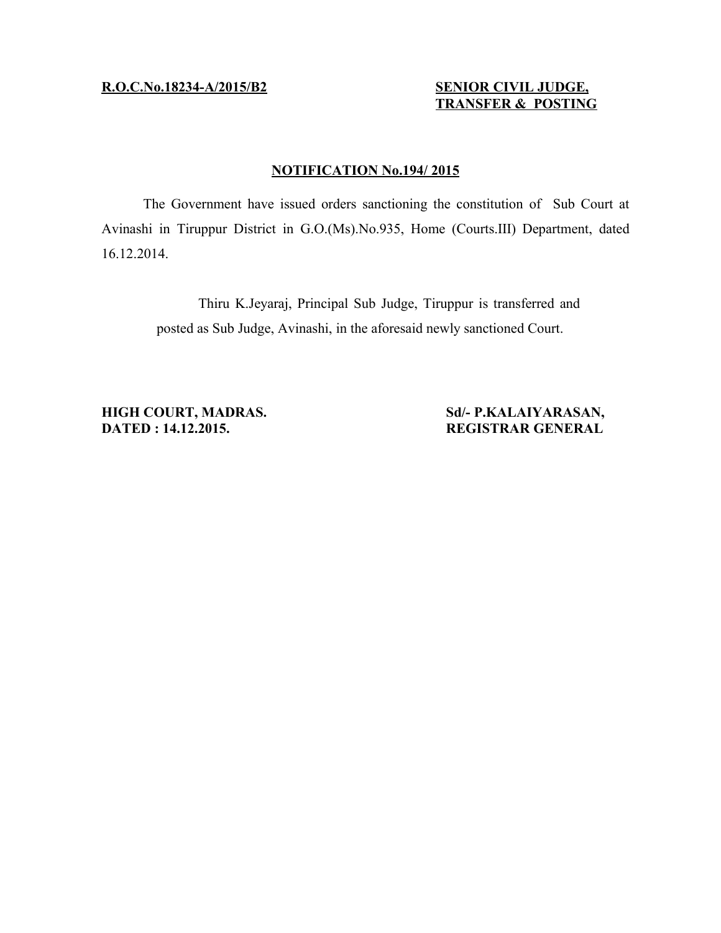# **R .O.C.No.18234 -A/2015/B2 SENIOR CIVIL JUDGE,**

# **TRANSFER & POSTING**

## **NOTIFICATION No.194/ 2015**

The Government have issued orders sanctioning the constitution of Sub Court at Avinashi in Tiruppur District in G.O.(Ms).No.935, Home (Courts.III) Department, dated 16.12.2014.

> Thiru K.Jeyaraj, Principal Sub Judge, Tiruppur is transferred and posted as Sub Judge, Avinashi, in the aforesaid newly sanctioned Court.

**HIGH COURT, MADRAS.** Sd/- P.KALAIYARASAN, **DATED : 14.12.2015. REGISTRAR GENERAL**